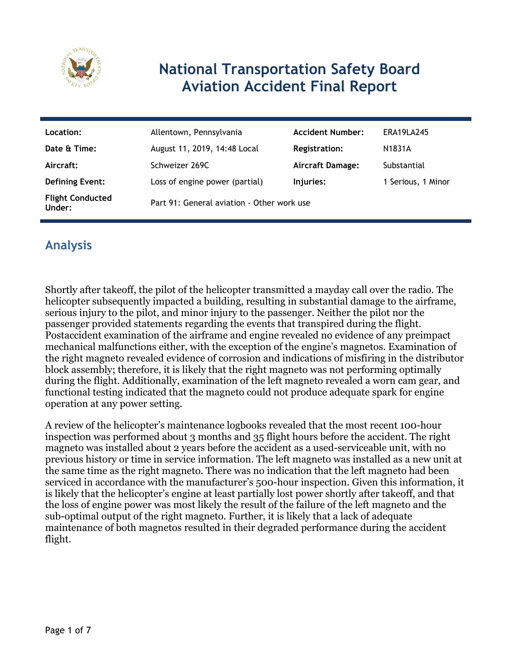

# **National Transportation Safety Board Aviation Accident Final Report**

| Location:                         | Allentown, Pennsylvania                    | <b>Accident Number:</b> | ERA19LA245         |
|-----------------------------------|--------------------------------------------|-------------------------|--------------------|
| Date & Time:                      | August 11, 2019, 14:48 Local               | <b>Registration:</b>    | N1831A             |
| Aircraft:                         | Schweizer 269C                             | <b>Aircraft Damage:</b> | Substantial        |
| <b>Defining Event:</b>            | Loss of engine power (partial)             | Injuries:               | 1 Serious, 1 Minor |
| <b>Flight Conducted</b><br>Under: | Part 91: General aviation - Other work use |                         |                    |

## **Analysis**

Shortly after takeoff, the pilot of the helicopter transmitted a mayday call over the radio. The helicopter subsequently impacted a building, resulting in substantial damage to the airframe, serious injury to the pilot, and minor injury to the passenger. Neither the pilot nor the passenger provided statements regarding the events that transpired during the flight. Postaccident examination of the airframe and engine revealed no evidence of any preimpact mechanical malfunctions either, with the exception of the engine's magnetos. Examination of the right magneto revealed evidence of corrosion and indications of misfiring in the distributor block assembly; therefore, it is likely that the right magneto was not performing optimally during the flight. Additionally, examination of the left magneto revealed a worn cam gear, and functional testing indicated that the magneto could not produce adequate spark for engine operation at any power setting.

A review of the helicopter's maintenance logbooks revealed that the most recent 100-hour inspection was performed about 3 months and 35 flight hours before the accident. The right magneto was installed about 2 years before the accident as a used-serviceable unit, with no previous history or time in service information. The left magneto was installed as a new unit at the same time as the right magneto. There was no indication that the left magneto had been serviced in accordance with the manufacturer's 500-hour inspection. Given this information, it is likely that the helicopter's engine at least partially lost power shortly after takeoff, and that the loss of engine power was most likely the result of the failure of the left magneto and the sub-optimal output of the right magneto. Further, it is likely that a lack of adequate maintenance of both magnetos resulted in their degraded performance during the accident flight.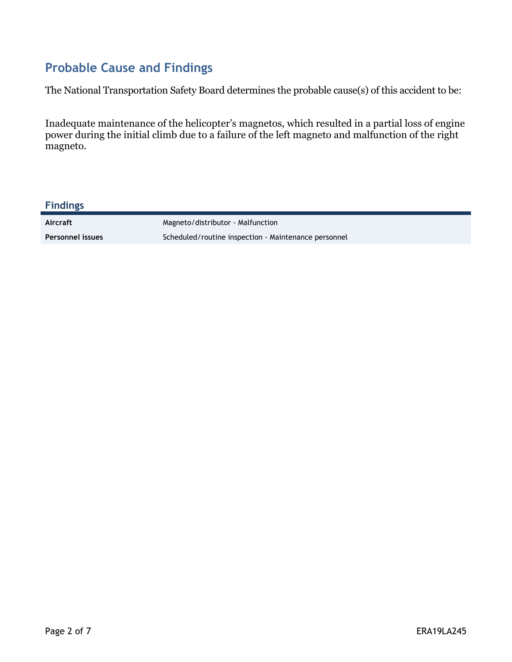## **Probable Cause and Findings**

The National Transportation Safety Board determines the probable cause(s) of this accident to be:

Inadequate maintenance of the helicopter's magnetos, which resulted in a partial loss of engine power during the initial climb due to a failure of the left magneto and malfunction of the right magneto.

| <b>Findings</b>         |                                                      |
|-------------------------|------------------------------------------------------|
| Aircraft                | Magneto/distributor - Malfunction                    |
| <b>Personnel issues</b> | Scheduled/routine inspection - Maintenance personnel |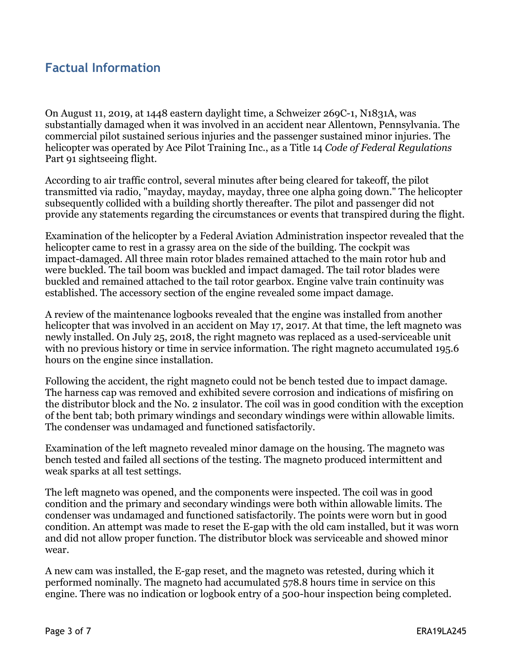### **Factual Information**

On August 11, 2019, at 1448 eastern daylight time, a Schweizer 269C-1, N1831A, was substantially damaged when it was involved in an accident near Allentown, Pennsylvania. The commercial pilot sustained serious injuries and the passenger sustained minor injuries. The helicopter was operated by Ace Pilot Training Inc., as a Title 14 *Code of Federal Regulations* Part 91 sightseeing flight.

According to air traffic control, several minutes after being cleared for takeoff, the pilot transmitted via radio, "mayday, mayday, mayday, three one alpha going down." The helicopter subsequently collided with a building shortly thereafter. The pilot and passenger did not provide any statements regarding the circumstances or events that transpired during the flight.

Examination of the helicopter by a Federal Aviation Administration inspector revealed that the helicopter came to rest in a grassy area on the side of the building. The cockpit was impact-damaged. All three main rotor blades remained attached to the main rotor hub and were buckled. The tail boom was buckled and impact damaged. The tail rotor blades were buckled and remained attached to the tail rotor gearbox. Engine valve train continuity was established. The accessory section of the engine revealed some impact damage.

A review of the maintenance logbooks revealed that the engine was installed from another helicopter that was involved in an accident on May 17, 2017. At that time, the left magneto was newly installed. On July 25, 2018, the right magneto was replaced as a used-serviceable unit with no previous history or time in service information. The right magneto accumulated 195.6 hours on the engine since installation.

Following the accident, the right magneto could not be bench tested due to impact damage. The harness cap was removed and exhibited severe corrosion and indications of misfiring on the distributor block and the No. 2 insulator. The coil was in good condition with the exception of the bent tab; both primary windings and secondary windings were within allowable limits. The condenser was undamaged and functioned satisfactorily.

Examination of the left magneto revealed minor damage on the housing. The magneto was bench tested and failed all sections of the testing. The magneto produced intermittent and weak sparks at all test settings.

The left magneto was opened, and the components were inspected. The coil was in good condition and the primary and secondary windings were both within allowable limits. The condenser was undamaged and functioned satisfactorily. The points were worn but in good condition. An attempt was made to reset the E-gap with the old cam installed, but it was worn and did not allow proper function. The distributor block was serviceable and showed minor wear.

A new cam was installed, the E-gap reset, and the magneto was retested, during which it performed nominally. The magneto had accumulated 578.8 hours time in service on this engine. There was no indication or logbook entry of a 500-hour inspection being completed.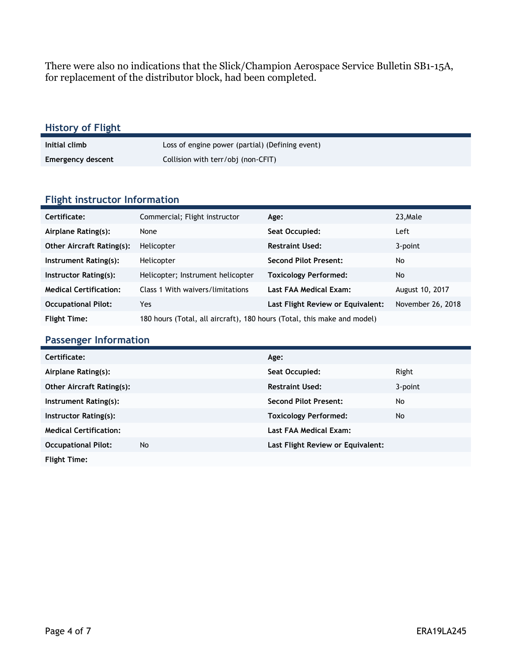There were also no indications that the Slick/Champion Aerospace Service Bulletin SB1-15A, for replacement of the distributor block, had been completed.

| <b>History of Flight</b> |                                                 |
|--------------------------|-------------------------------------------------|
| Initial climb            | Loss of engine power (partial) (Defining event) |
| <b>Emergency descent</b> | Collision with terr/obj (non-CFIT)              |
|                          |                                                 |

#### **Flight instructor Information**

| Certificate:                     | Commercial; Flight instructor                                           | Age:                              | 23, Male          |
|----------------------------------|-------------------------------------------------------------------------|-----------------------------------|-------------------|
| Airplane Rating(s):              | None                                                                    | Seat Occupied:                    | Left              |
| <b>Other Aircraft Rating(s):</b> | Helicopter                                                              | <b>Restraint Used:</b>            | 3-point           |
| Instrument Rating(s):            | Helicopter                                                              | <b>Second Pilot Present:</b>      | No                |
| Instructor Rating(s):            | Helicopter; Instrument helicopter                                       | <b>Toxicology Performed:</b>      | No                |
| <b>Medical Certification:</b>    | Class 1 With waivers/limitations                                        | Last FAA Medical Exam:            | August 10, 2017   |
| <b>Occupational Pilot:</b>       | Yes                                                                     | Last Flight Review or Equivalent: | November 26, 2018 |
| <b>Flight Time:</b>              | 180 hours (Total, all aircraft), 180 hours (Total, this make and model) |                                   |                   |

#### **Passenger Information**

| Certificate:                     |           | Age:                              |         |
|----------------------------------|-----------|-----------------------------------|---------|
| Airplane Rating(s):              |           | Seat Occupied:                    | Right   |
| <b>Other Aircraft Rating(s):</b> |           | <b>Restraint Used:</b>            | 3-point |
| Instrument Rating(s):            |           | <b>Second Pilot Present:</b>      | No      |
| Instructor Rating(s):            |           | <b>Toxicology Performed:</b>      | No      |
| <b>Medical Certification:</b>    |           | Last FAA Medical Exam:            |         |
| <b>Occupational Pilot:</b>       | <b>No</b> | Last Flight Review or Equivalent: |         |
| <b>Flight Time:</b>              |           |                                   |         |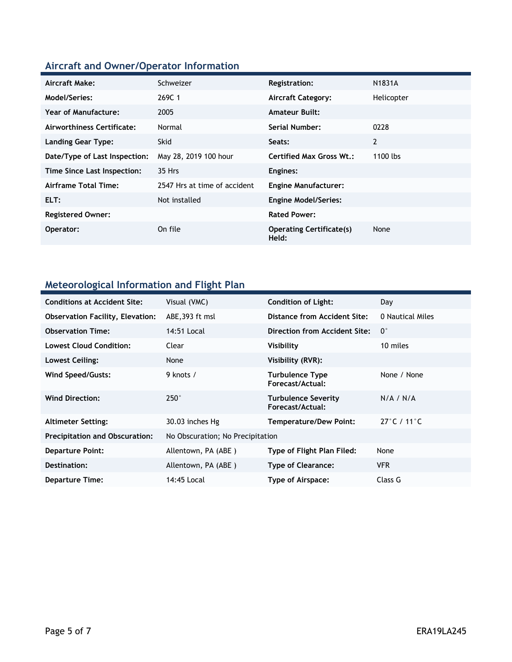# **Aircraft and Owner/Operator Information**

| Aircraft Make:                | Schweizer                    | <b>Registration:</b>                     | N1831A     |
|-------------------------------|------------------------------|------------------------------------------|------------|
| Model/Series:                 | 269C 1                       | <b>Aircraft Category:</b>                | Helicopter |
| <b>Year of Manufacture:</b>   | 2005                         | <b>Amateur Built:</b>                    |            |
| Airworthiness Certificate:    | Normal                       | Serial Number:                           | 0228       |
| <b>Landing Gear Type:</b>     | <b>Skid</b>                  | Seats:                                   | 2          |
| Date/Type of Last Inspection: | May 28, 2019 100 hour        | <b>Certified Max Gross Wt.:</b>          | 1100 lbs   |
| Time Since Last Inspection:   | 35 Hrs                       | Engines:                                 |            |
| Airframe Total Time:          | 2547 Hrs at time of accident | <b>Engine Manufacturer:</b>              |            |
| ELT:                          | Not installed                | <b>Engine Model/Series:</b>              |            |
| <b>Registered Owner:</b>      |                              | <b>Rated Power:</b>                      |            |
| Operator:                     | On file                      | <b>Operating Certificate(s)</b><br>Held: | None       |

## **Meteorological Information and Flight Plan**

| <b>Conditions at Accident Site:</b>     | Visual (VMC)                     | <b>Condition of Light:</b>                     | Day              |
|-----------------------------------------|----------------------------------|------------------------------------------------|------------------|
| <b>Observation Facility, Elevation:</b> | ABE, 393 ft msl                  | Distance from Accident Site:                   | 0 Nautical Miles |
| <b>Observation Time:</b>                | 14:51 Local                      | Direction from Accident Site:                  | $0^{\circ}$      |
| <b>Lowest Cloud Condition:</b>          | Clear                            | Visibility                                     | 10 miles         |
| Lowest Ceiling:                         | None                             | Visibility (RVR):                              |                  |
| Wind Speed/Gusts:                       | 9 knots /                        | <b>Turbulence Type</b><br>Forecast/Actual:     | None / None      |
| <b>Wind Direction:</b>                  | $250^\circ$                      | <b>Turbulence Severity</b><br>Forecast/Actual: | N/A / N/A        |
| <b>Altimeter Setting:</b>               | 30.03 inches Hg                  | <b>Temperature/Dew Point:</b>                  | 27°C / 11°C      |
| <b>Precipitation and Obscuration:</b>   | No Obscuration; No Precipitation |                                                |                  |
| <b>Departure Point:</b>                 | Allentown, PA (ABE)              | Type of Flight Plan Filed:                     | None             |
| Destination:                            | Allentown, PA (ABE)              | <b>Type of Clearance:</b>                      | <b>VFR</b>       |
| <b>Departure Time:</b>                  | 14:45 Local                      | Type of Airspace:                              | Class G          |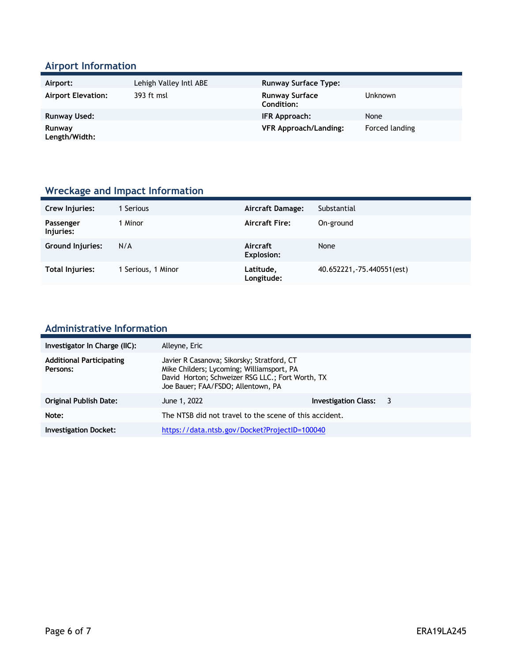### **Airport Information**

| Airport:                  | Lehigh Valley Intl ABE | <b>Runway Surface Type:</b>         |                |
|---------------------------|------------------------|-------------------------------------|----------------|
| <b>Airport Elevation:</b> | 393 ft msl             | <b>Runway Surface</b><br>Condition: | <b>Unknown</b> |
| <b>Runway Used:</b>       |                        | IFR Approach:                       | None           |
| Runway<br>Length/Width:   |                        | <b>VFR Approach/Landing:</b>        | Forced landing |

## **Wreckage and Impact Information**

| Crew Injuries:          | Serious          | Aircraft Damage:        | Substantial                |
|-------------------------|------------------|-------------------------|----------------------------|
| Passenger<br>Injuries:  | 1 Minor          | <b>Aircraft Fire:</b>   | On-ground                  |
| <b>Ground Injuries:</b> | N/A              | Aircraft<br>Explosion:  | None                       |
| <b>Total Injuries:</b>  | Serious, 1 Minor | Latitude,<br>Longitude: | 40.652221, -75.440551(est) |

### **Administrative Information**

| Investigator In Charge (IIC):               | Alleyne, Eric                                                                                                                                                                     |                      |     |
|---------------------------------------------|-----------------------------------------------------------------------------------------------------------------------------------------------------------------------------------|----------------------|-----|
| <b>Additional Participating</b><br>Persons: | Javier R Casanova; Sikorsky; Stratford, CT<br>Mike Childers; Lycoming; Williamsport, PA<br>David Horton; Schweizer RSG LLC.; Fort Worth, TX<br>Joe Bauer; FAA/FSDO; Allentown, PA |                      |     |
| Original Publish Date:                      | June 1, 2022                                                                                                                                                                      | Investigation Class: | - 3 |
| Note:                                       | The NTSB did not travel to the scene of this accident.                                                                                                                            |                      |     |
| <b>Investigation Docket:</b>                | https://data.ntsb.gov/Docket?ProjectID=100040                                                                                                                                     |                      |     |